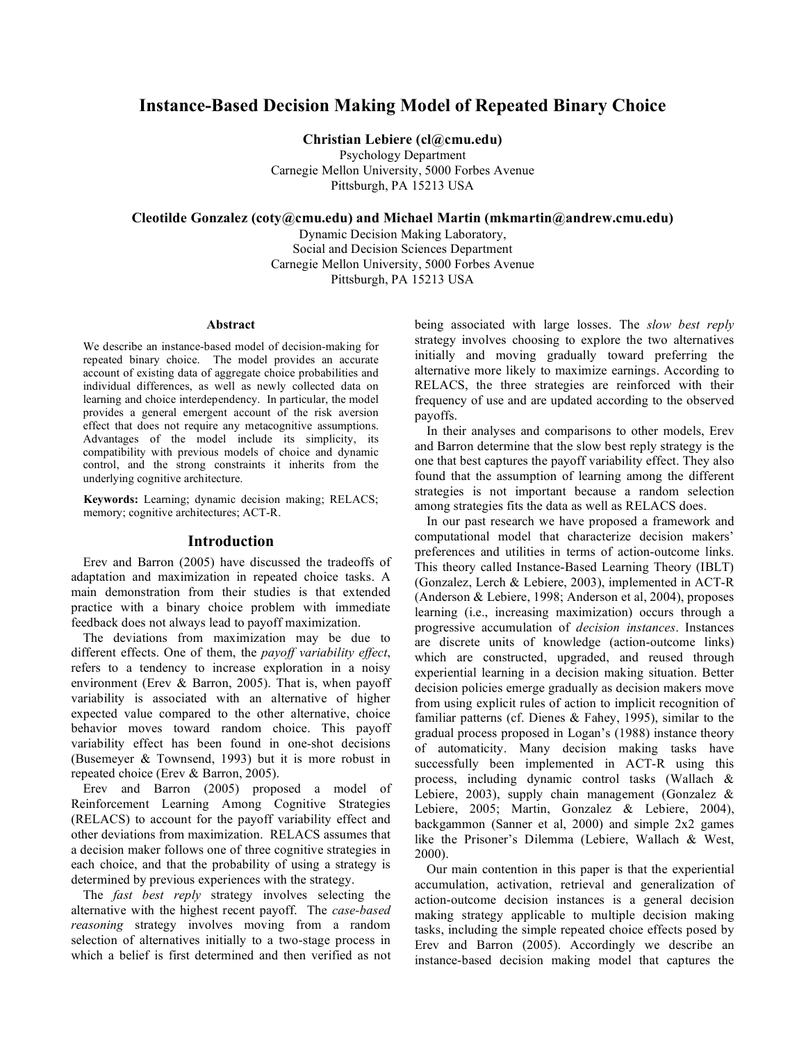# **Instance-Based Decision Making Model of Repeated Binary Choice**

**Christian Lebiere (cl@cmu.edu)**

Psychology Department Carnegie Mellon University, 5000 Forbes Avenue Pittsburgh, PA 15213 USA

**Cleotilde Gonzalez (coty@cmu.edu) and Michael Martin (mkmartin@andrew.cmu.edu)**

Dynamic Decision Making Laboratory, Social and Decision Sciences Department Carnegie Mellon University, 5000 Forbes Avenue Pittsburgh, PA 15213 USA

### **Abstract**

We describe an instance-based model of decision-making for repeated binary choice. The model provides an accurate account of existing data of aggregate choice probabilities and individual differences, as well as newly collected data on learning and choice interdependency. In particular, the model provides a general emergent account of the risk aversion effect that does not require any metacognitive assumptions. Advantages of the model include its simplicity, its compatibility with previous models of choice and dynamic control, and the strong constraints it inherits from the underlying cognitive architecture.

**Keywords:** Learning; dynamic decision making; RELACS; memory; cognitive architectures; ACT-R.

#### **Introduction**

Erev and Barron (2005) have discussed the tradeoffs of adaptation and maximization in repeated choice tasks. A main demonstration from their studies is that extended practice with a binary choice problem with immediate feedback does not always lead to payoff maximization.

The deviations from maximization may be due to different effects. One of them, the *payoff variability effect*, refers to a tendency to increase exploration in a noisy environment (Erev & Barron, 2005). That is, when payoff variability is associated with an alternative of higher expected value compared to the other alternative, choice behavior moves toward random choice. This payoff variability effect has been found in one-shot decisions (Busemeyer & Townsend, 1993) but it is more robust in repeated choice (Erev & Barron, 2005).

Erev and Barron (2005) proposed a model of Reinforcement Learning Among Cognitive Strategies (RELACS) to account for the payoff variability effect and other deviations from maximization. RELACS assumes that a decision maker follows one of three cognitive strategies in each choice, and that the probability of using a strategy is determined by previous experiences with the strategy.

The *fast best reply* strategy involves selecting the alternative with the highest recent payoff. The *case-based reasoning* strategy involves moving from a random selection of alternatives initially to a two-stage process in which a belief is first determined and then verified as not

being associated with large losses. The *slow best reply* strategy involves choosing to explore the two alternatives initially and moving gradually toward preferring the alternative more likely to maximize earnings. According to RELACS, the three strategies are reinforced with their frequency of use and are updated according to the observed payoffs.

In their analyses and comparisons to other models, Erev and Barron determine that the slow best reply strategy is the one that best captures the payoff variability effect. They also found that the assumption of learning among the different strategies is not important because a random selection among strategies fits the data as well as RELACS does.

In our past research we have proposed a framework and computational model that characterize decision makers' preferences and utilities in terms of action-outcome links. This theory called Instance-Based Learning Theory (IBLT) (Gonzalez, Lerch & Lebiere, 2003), implemented in ACT-R (Anderson & Lebiere, 1998; Anderson et al, 2004), proposes learning (i.e., increasing maximization) occurs through a progressive accumulation of *decision instances*. Instances are discrete units of knowledge (action-outcome links) which are constructed, upgraded, and reused through experiential learning in a decision making situation. Better decision policies emerge gradually as decision makers move from using explicit rules of action to implicit recognition of familiar patterns (cf. Dienes & Fahey, 1995), similar to the gradual process proposed in Logan's (1988) instance theory of automaticity. Many decision making tasks have successfully been implemented in ACT-R using this process, including dynamic control tasks (Wallach & Lebiere, 2003), supply chain management (Gonzalez & Lebiere, 2005; Martin, Gonzalez & Lebiere, 2004), backgammon (Sanner et al, 2000) and simple 2x2 games like the Prisoner's Dilemma (Lebiere, Wallach & West, 2000).

Our main contention in this paper is that the experiential accumulation, activation, retrieval and generalization of action-outcome decision instances is a general decision making strategy applicable to multiple decision making tasks, including the simple repeated choice effects posed by Erev and Barron (2005). Accordingly we describe an instance-based decision making model that captures the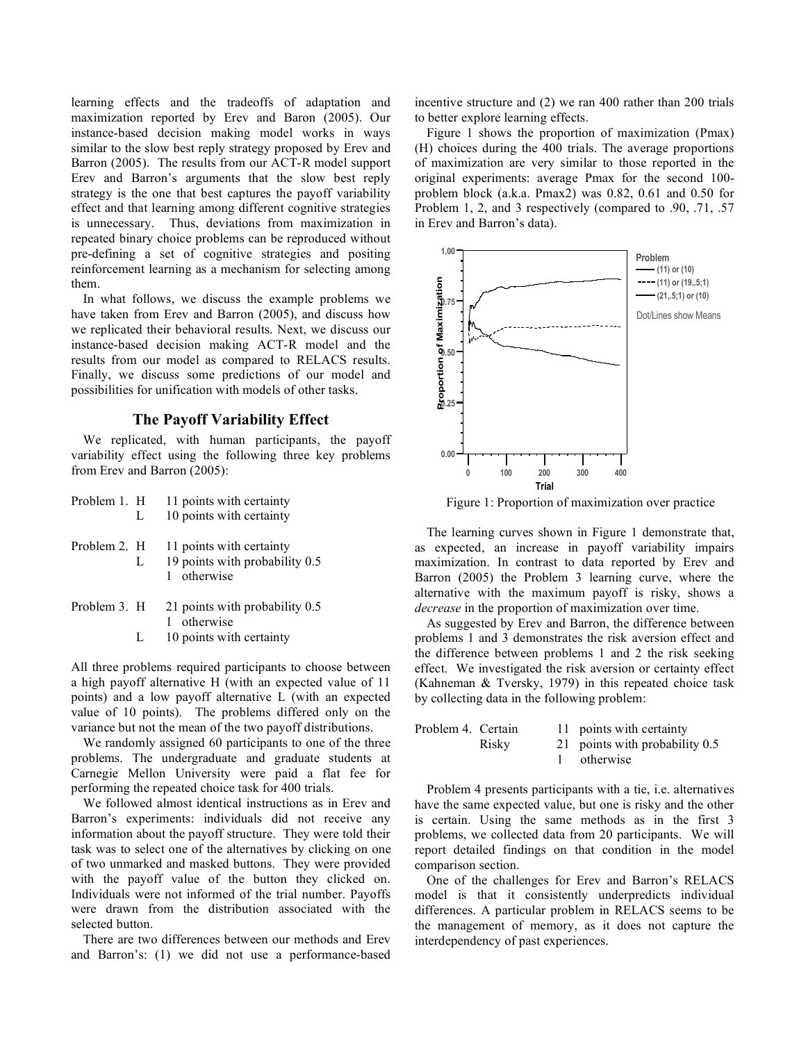learning effects and the tradeoffs of adaptation and maximization reported by Erev and Baron (2005). Our instance-based decision making model works in ways similar to the slow best reply strategy proposed by Erev and Barron (2005). The results from our ACT-R model support Erev and Barron's arguments that the slow best reply strategy is the one that best captures the payoff variability effect and that learning among different cognitive strategies is unnecessary. Thus, deviations from maximization in repeated binary choice problems can be reproduced without pre-defining a set of cognitive strategies and positing reinforcement learning as a mechanism for selecting among them.

In what follows, we discuss the example problems we have taken from Erev and Barron (2005), and discuss how we replicated their behavioral results. Next, we discuss our instance-based decision making ACT-R model and the results from our model as compared to RELACS results. Finally, we discuss some predictions of our model and possibilities for unification with models of other tasks.

## **The Payoff Variability Effect**

We replicated, with human participants, the payoff variability effect using the following three key problems from Erev and Barron (2005):

| Problem 1. H      | 11 points with certainty                                                  |  |  |  |
|-------------------|---------------------------------------------------------------------------|--|--|--|
| L                 | 10 points with certainty                                                  |  |  |  |
| Problem 2. H<br>L | 11 points with certainty<br>19 points with probability 0.5<br>1 otherwise |  |  |  |
| Problem 3. H      | 21 points with probability 0.5<br>otherwise                               |  |  |  |

L 10 points with certainty

All three problems required participants to choose between a high payoff alternative H (with an expected value of 11 points) and a low payoff alternative L (with an expected value of 10 points). The problems differed only on the variance but not the mean of the two payoff distributions.

We randomly assigned 60 participants to one of the three problems. The undergraduate and graduate students at Carnegie Mellon University were paid a flat fee for performing the repeated choice task for 400 trials.

We followed almost identical instructions as in Erev and Barron's experiments: individuals did not receive any information about the payoff structure. They were told their task was to select one of the alternatives by clicking on one of two unmarked and masked buttons. They were provided with the payoff value of the button they clicked on. Individuals were not informed of the trial number. Payoffs were drawn from the distribution associated with the selected button.

There are two differences between our methods and Erev and Barron's: (1) we did not use a performance-based incentive structure and (2) we ran 400 rather than 200 trials to better explore learning effects.

Figure 1 shows the proportion of maximization (Pmax) (H) choices during the 400 trials. The average proportions of maximization are very similar to those reported in the original experiments: average Pmax for the second 100 problem block (a.k.a. Pmax2) was 0.82, 0.61 and 0.50 for Problem 1, 2, and 3 respectively (compared to .90, .71, .57 in Erev and Barron's data).



Figure 1: Proportion of maximization over practice

The learning curves shown in Figure 1 demonstrate that, as expected, an increase in payoff variability impairs maximization. In contrast to data reported by Erev and Barron (2005) the Problem 3 learning curve, where the alternative with the maximum payoff is risky, shows a *decrease* in the proportion of maximization over time.

As suggested by Erev and Barron, the difference between problems 1 and 3 demonstrates the risk aversion effect and the difference between problems 1 and 2 the risk seeking effect. We investigated the risk aversion or certainty effect (Kahneman & Tversky, 1979) in this repeated choice task by collecting data in the following problem:

| Problem 4. Certain |       | 11 points with certainty       |
|--------------------|-------|--------------------------------|
|                    | Risky | 21 points with probability 0.5 |
|                    |       | otherwise                      |

Problem 4 presents participants with a tie, i.e. alternatives have the same expected value, but one is risky and the other is certain. Using the same methods as in the first 3 problems, we collected data from 20 participants. We will report detailed findings on that condition in the model comparison section.

One of the challenges for Erev and Barron's RELACS model is that it consistently underpredicts individual differences. A particular problem in RELACS seems to be the management of memory, as it does not capture the interdependency of past experiences.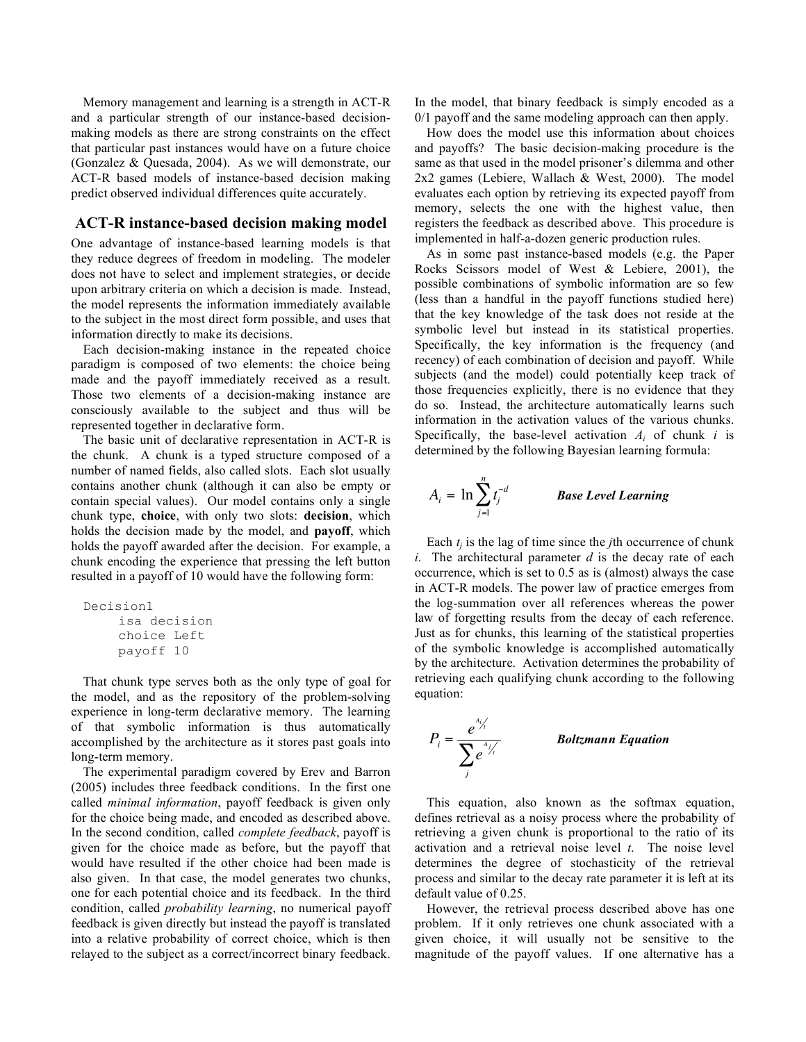Memory management and learning is a strength in ACT-R and a particular strength of our instance-based decisionmaking models as there are strong constraints on the effect that particular past instances would have on a future choice (Gonzalez & Quesada, 2004). As we will demonstrate, our ACT-R based models of instance-based decision making predict observed individual differences quite accurately.

## **ACT-R instance-based decision making model**

One advantage of instance-based learning models is that they reduce degrees of freedom in modeling. The modeler does not have to select and implement strategies, or decide upon arbitrary criteria on which a decision is made. Instead, the model represents the information immediately available to the subject in the most direct form possible, and uses that information directly to make its decisions.

Each decision-making instance in the repeated choice paradigm is composed of two elements: the choice being made and the payoff immediately received as a result. Those two elements of a decision-making instance are consciously available to the subject and thus will be represented together in declarative form.

The basic unit of declarative representation in ACT-R is the chunk. A chunk is a typed structure composed of a number of named fields, also called slots. Each slot usually contains another chunk (although it can also be empty or contain special values). Our model contains only a single chunk type, **choice**, with only two slots: **decision**, which holds the decision made by the model, and **payoff**, which holds the payoff awarded after the decision. For example, a chunk encoding the experience that pressing the left button resulted in a payoff of 10 would have the following form: !

```
Decision1
isa decision
choice Left
payoff 10
```
That chunk type serves both as the only type of goal for the model, and as the repository of the problem-solving experience in long-term declarative memory. The learning of that symbolic information is thus automatically accomplished by the architecture as it stores past goals into long-term memory.

The experimental paradigm covered by Erev and Barron (2005) includes three feedback conditions. In the first one called *minimal information*, payoff feedback is given only for the choice being made, and encoded as described above. In the second condition, called *complete feedback*, payoff is ! given for the choice made as before, but the payoff that would have resulted if the other choice had been made is also given. In that case, the model generates two chunks, one for each potential choice and its feedback. In the third condition, called *probability learning*, no numerical payoff feedback is given directly but instead the payoff is translated into a relative probability of correct choice, which is then relayed to the subject as a correct/incorrect binary feedback. In the model, that binary feedback is simply encoded as a 0/1 payoff and the same modeling approach can then apply.

How does the model use this information about choices and payoffs? The basic decision-making procedure is the same as that used in the model prisoner's dilemma and other 2x2 games (Lebiere, Wallach & West, 2000). The model evaluates each option by retrieving its expected payoff from memory, selects the one with the highest value, then registers the feedback as described above. This procedure is implemented in half-a-dozen generic production rules.

As in some past instance-based models (e.g. the Paper Rocks Scissors model of West & Lebiere, 2001), the possible combinations of symbolic information are so few (less than a handful in the payoff functions studied here) that the key knowledge of the task does not reside at the symbolic level but instead in its statistical properties. Specifically, the key information is the frequency (and recency) of each combination of decision and payoff. While subjects (and the model) could potentially keep track of those frequencies explicitly, there is no evidence that they do so. Instead, the architecture automatically learns such information in the activation values of the various chunks. Specifically, the base-level activation  $A_i$  of chunk *i* is determined by the following Bayesian learning formula:

$$
A_i = \ln \sum_{j=1}^n t_j^{-d}
$$
 *Base Level Learning*

Each  $t_i$  is the lag of time since the *j*th occurrence of chunk *i*. The architectural parameter  $d$  is the decay rate of each occurrence, which is set to 0.5 as is (almost) always the case in ACT-R models. The power law of practice emerges from the log-summation over all references whereas the power law of forgetting results from the decay of each reference. Just as for chunks, this learning of the statistical properties of the symbolic knowledge is accomplished automatically by the architecture. Activation determines the probability of retrieving each qualifying chunk according to the following equation:



This equation, also known as the softmax equation, defines retrieval as a noisy process where the probability of retrieving a given chunk is proportional to the ratio of its activation and a retrieval noise level *t*. The noise level determines the degree of stochasticity of the retrieval process and similar to the decay rate parameter it is left at its default value of 0.25.

However, the retrieval process described above has one problem. If it only retrieves one chunk associated with a given choice, it will usually not be sensitive to the magnitude of the payoff values. If one alternative has a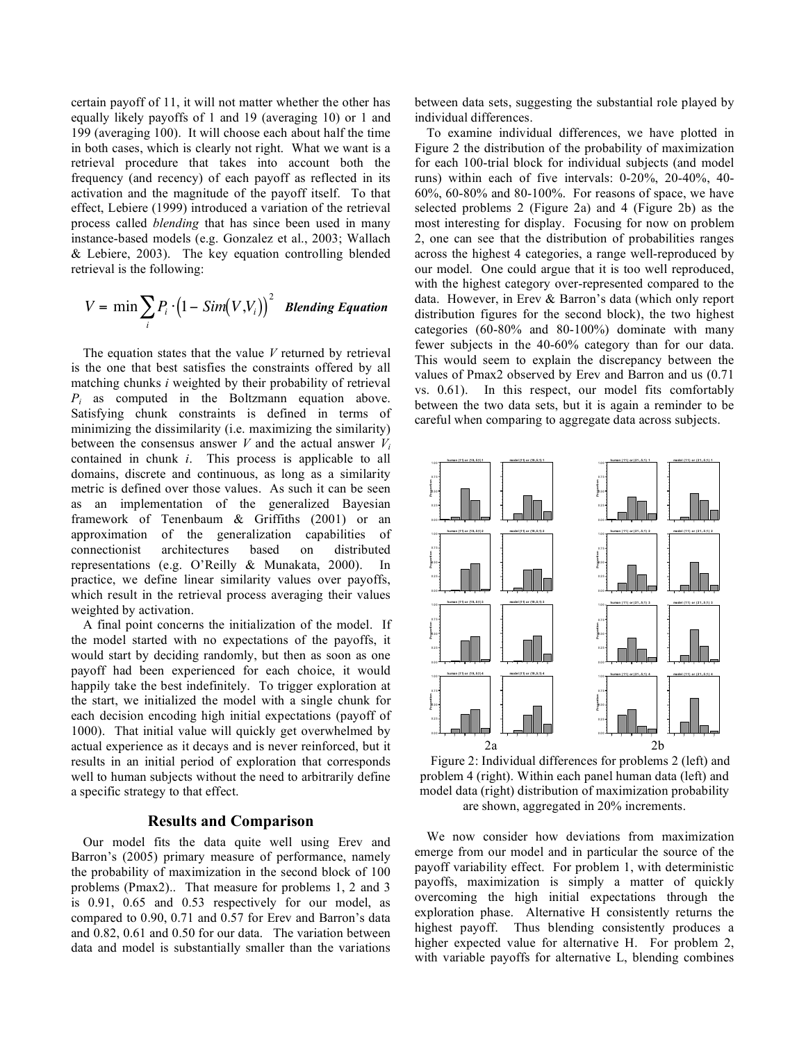certain payoff of 11, it will not matter whether the other has equally likely payoffs of 1 and 19 (averaging 10) or 1 and 199 (averaging 100). It will choose each about half the time in both cases, which is clearly not right. What we want is a retrieval procedure that takes into account both the frequency (and recency) of each payoff as reflected in its activation and the magnitude of the payoff itself. To that effect, Lebiere (1999) introduced a variation of the retrieval process called *blending* that has since been used in many instance-based models (e.g. Gonzalez et al., 2003; Wallach & Lebiere, 2003). The key equation controlling blended retrieval is the following:

$$
V = \min \sum_{i} P_i \cdot (1 - Sim(V, V_i))^{2} \quad \text{Blending Equation}
$$

The equation states that the value *V* returned by retrieval is the one that best satisfies the constraints offered by all matching chunks *i* weighted by their probability of retrieval *Pi* as computed in the Boltzmann equation above. Satisfying chunk constraints is defined in terms of minimizing the dissimilarity (i.e. maximizing the similarity) between the consensus answer  $V$  and the actual answer  $V_i$ contained in chunk *i*. This process is applicable to all domains, discrete and continuous, as long as a similarity metric is defined over those values. As such it can be seen as an implementation of the generalized Bayesian framework of Tenenbaum & Griffiths (2001) or an approximation of the generalization capabilities of connectionist architectures based on distributed representations (e.g. O'Reilly & Munakata, 2000). In practice, we define linear similarity values over payoffs, which result in the retrieval process averaging their values weighted by activation.

A final point concerns the initialization of the model. If the model started with no expectations of the payoffs, it would start by deciding randomly, but then as soon as one payoff had been experienced for each choice, it would happily take the best indefinitely. To trigger exploration at the start, we initialized the model with a single chunk for each decision encoding high initial expectations (payoff of 1000). That initial value will quickly get overwhelmed by actual experience as it decays and is never reinforced, but it results in an initial period of exploration that corresponds well to human subjects without the need to arbitrarily define a specific strategy to that effect.

## **Results and Comparison**

Our model fits the data quite well using Erev and Barron's (2005) primary measure of performance, namely the probability of maximization in the second block of 100 problems (Pmax2).. That measure for problems 1, 2 and 3 is 0.91, 0.65 and 0.53 respectively for our model, as compared to 0.90, 0.71 and 0.57 for Erev and Barron's data and 0.82, 0.61 and 0.50 for our data. The variation between data and model is substantially smaller than the variations between data sets, suggesting the substantial role played by individual differences.

To examine individual differences, we have plotted in Figure 2 the distribution of the probability of maximization for each 100-trial block for individual subjects (and model runs) within each of five intervals: 0-20%, 20-40%, 40- 60%, 60-80% and 80-100%. For reasons of space, we have selected problems 2 (Figure 2a) and 4 (Figure 2b) as the most interesting for display. Focusing for now on problem 2, one can see that the distribution of probabilities ranges across the highest 4 categories, a range well-reproduced by our model. One could argue that it is too well reproduced, with the highest category over-represented compared to the data. However, in Erev & Barron's data (which only report distribution figures for the second block), the two highest categories (60-80% and 80-100%) dominate with many fewer subjects in the 40-60% category than for our data. This would seem to explain the discrepancy between the values of Pmax2 observed by Erev and Barron and us (0.71 vs. 0.61). In this respect, our model fits comfortably between the two data sets, but it is again a reminder to be careful when comparing to aggregate data across subjects.



Figure 2: Individual differences for problems 2 (left) and problem 4 (right). Within each panel human data (left) and model data (right) distribution of maximization probability are shown, aggregated in 20% increments.

We now consider how deviations from maximization emerge from our model and in particular the source of the payoff variability effect. For problem 1, with deterministic payoffs, maximization is simply a matter of quickly overcoming the high initial expectations through the exploration phase. Alternative H consistently returns the highest payoff. Thus blending consistently produces a higher expected value for alternative H. For problem 2, with variable payoffs for alternative L, blending combines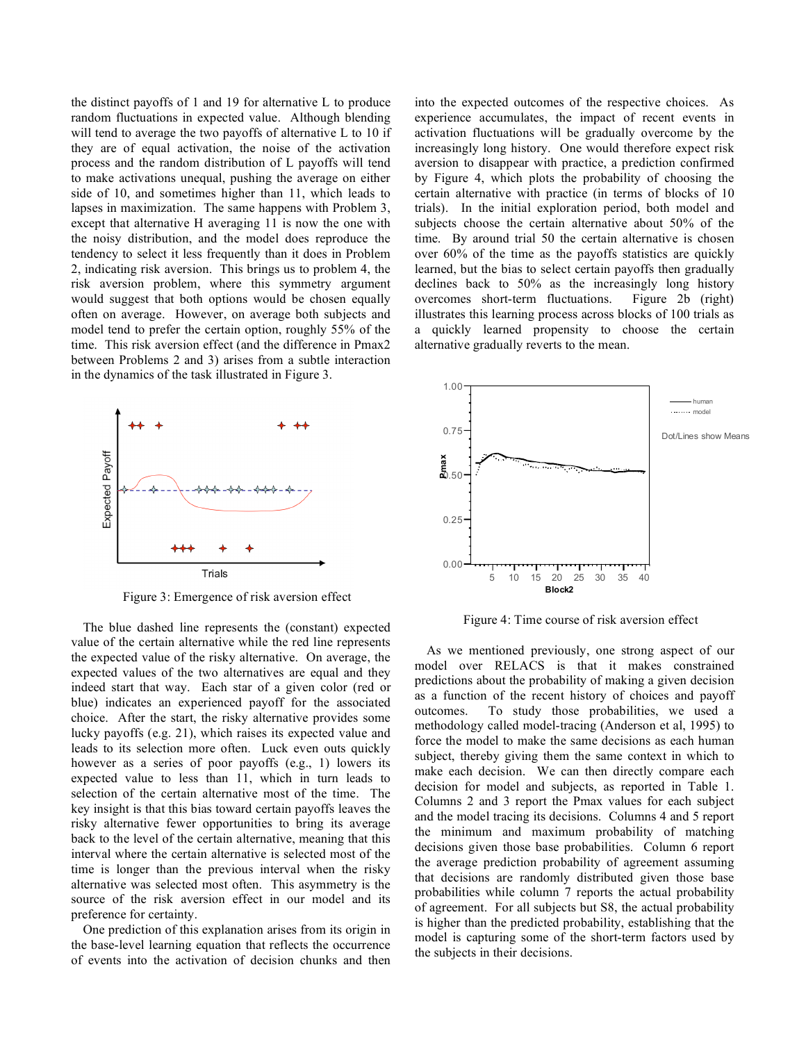the distinct payoffs of 1 and 19 for alternative L to produce random fluctuations in expected value. Although blending will tend to average the two payoffs of alternative L to 10 if they are of equal activation, the noise of the activation process and the random distribution of L payoffs will tend to make activations unequal, pushing the average on either side of 10, and sometimes higher than 11, which leads to lapses in maximization. The same happens with Problem 3, except that alternative H averaging 11 is now the one with the noisy distribution, and the model does reproduce the tendency to select it less frequently than it does in Problem 2, indicating risk aversion. This brings us to problem 4, the risk aversion problem, where this symmetry argument would suggest that both options would be chosen equally often on average. However, on average both subjects and model tend to prefer the certain option, roughly 55% of the time. This risk aversion effect (and the difference in Pmax2 between Problems 2 and 3) arises from a subtle interaction in the dynamics of the task illustrated in Figure 3.



Figure 3: Emergence of risk aversion effect

The blue dashed line represents the (constant) expected value of the certain alternative while the red line represents the expected value of the risky alternative. On average, the expected values of the two alternatives are equal and they indeed start that way. Each star of a given color (red or blue) indicates an experienced payoff for the associated choice. After the start, the risky alternative provides some lucky payoffs (e.g. 21), which raises its expected value and leads to its selection more often. Luck even outs quickly however as a series of poor payoffs (e.g., 1) lowers its expected value to less than 11, which in turn leads to selection of the certain alternative most of the time. The key insight is that this bias toward certain payoffs leaves the risky alternative fewer opportunities to bring its average back to the level of the certain alternative, meaning that this interval where the certain alternative is selected most of the time is longer than the previous interval when the risky alternative was selected most often. This asymmetry is the source of the risk aversion effect in our model and its preference for certainty.

One prediction of this explanation arises from its origin in the base-level learning equation that reflects the occurrence of events into the activation of decision chunks and then into the expected outcomes of the respective choices. As experience accumulates, the impact of recent events in activation fluctuations will be gradually overcome by the increasingly long history. One would therefore expect risk aversion to disappear with practice, a prediction confirmed by Figure 4, which plots the probability of choosing the certain alternative with practice (in terms of blocks of 10 trials). In the initial exploration period, both model and subjects choose the certain alternative about 50% of the time. By around trial 50 the certain alternative is chosen over 60% of the time as the payoffs statistics are quickly learned, but the bias to select certain payoffs then gradually declines back to 50% as the increasingly long history overcomes short-term fluctuations. Figure 2b (right) illustrates this learning process across blocks of 100 trials as a quickly learned propensity to choose the certain alternative gradually reverts to the mean.



Figure 4: Time course of risk aversion effect

As we mentioned previously, one strong aspect of our model over RELACS is that it makes constrained predictions about the probability of making a given decision as a function of the recent history of choices and payoff outcomes. To study those probabilities, we used a methodology called model-tracing (Anderson et al, 1995) to force the model to make the same decisions as each human subject, thereby giving them the same context in which to make each decision. We can then directly compare each decision for model and subjects, as reported in Table 1. Columns 2 and 3 report the Pmax values for each subject and the model tracing its decisions. Columns 4 and 5 report the minimum and maximum probability of matching decisions given those base probabilities. Column 6 report the average prediction probability of agreement assuming that decisions are randomly distributed given those base probabilities while column 7 reports the actual probability of agreement. For all subjects but S8, the actual probability is higher than the predicted probability, establishing that the model is capturing some of the short-term factors used by the subjects in their decisions.